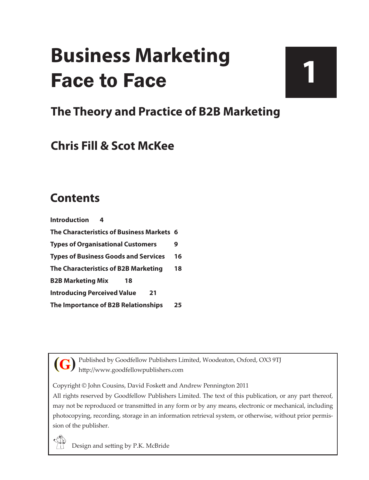# **Business Marketing** Face to Face

# **1**

# **The Theory and Practice of B2B Marketing**

# **Chris Fill & Scot McKee**

# **Contents**

| <b>Introduction</b>                         |    |
|---------------------------------------------|----|
| The Characteristics of Business Markets 6   |    |
| <b>Types of Organisational Customers</b>    | 9  |
| <b>Types of Business Goods and Services</b> | 16 |
| The Characteristics of B2B Marketing        | 18 |
| <b>B2B Marketing Mix</b><br>18              |    |
| <b>Introducing Perceived Value</b><br>21    |    |
| The Importance of B2B Relationships         | 25 |

Published by Goodfellow Publishers Limited, Woodeaton, Oxford, OX3 9TJ http://www.goodfellowpublishers.com **(G)**

Copyright © John Cousins, David Foskett and Andrew Pennington 2011

All rights reserved by Goodfellow Publishers Limited. The text of this publication, or any part thereof, may not be reproduced or transmitted in any form or by any means, electronic or mechanical, including photocopying, recording, storage in an information retrieval system, or otherwise, without prior permission of the publisher.

Design and setting by P.K. McBride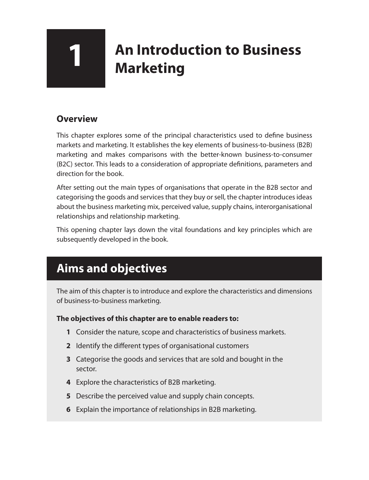# **1 An Introduction to Business Marketing**

### **Overview**

This chapter explores some of the principal characteristics used to define business markets and marketing. It establishes the key elements of business-to-business (B2B) marketing and makes comparisons with the better-known business-to-consumer (B2C) sector. This leads to a consideration of appropriate definitions, parameters and direction for the book.

After setting out the main types of organisations that operate in the B2B sector and categorising the goods and services that they buy or sell, the chapter introduces ideas about the business marketing mix, perceived value, supply chains, interorganisational relationships and relationship marketing.

This opening chapter lays down the vital foundations and key principles which are subsequently developed in the book.

# **Aims and objectives**

The aim of this chapter is to introduce and explore the characteristics and dimensions of business-to-business marketing.

#### **The objectives of this chapter are to enable readers to:**

- **1** Consider the nature, scope and characteristics of business markets.
- **2** Identify the different types of organisational customers
- **3** Categorise the goods and services that are sold and bought in the sector.
- **4** Explore the characteristics of B2B marketing.
- **5** Describe the perceived value and supply chain concepts.
- **6** Explain the importance of relationships in B2B marketing.